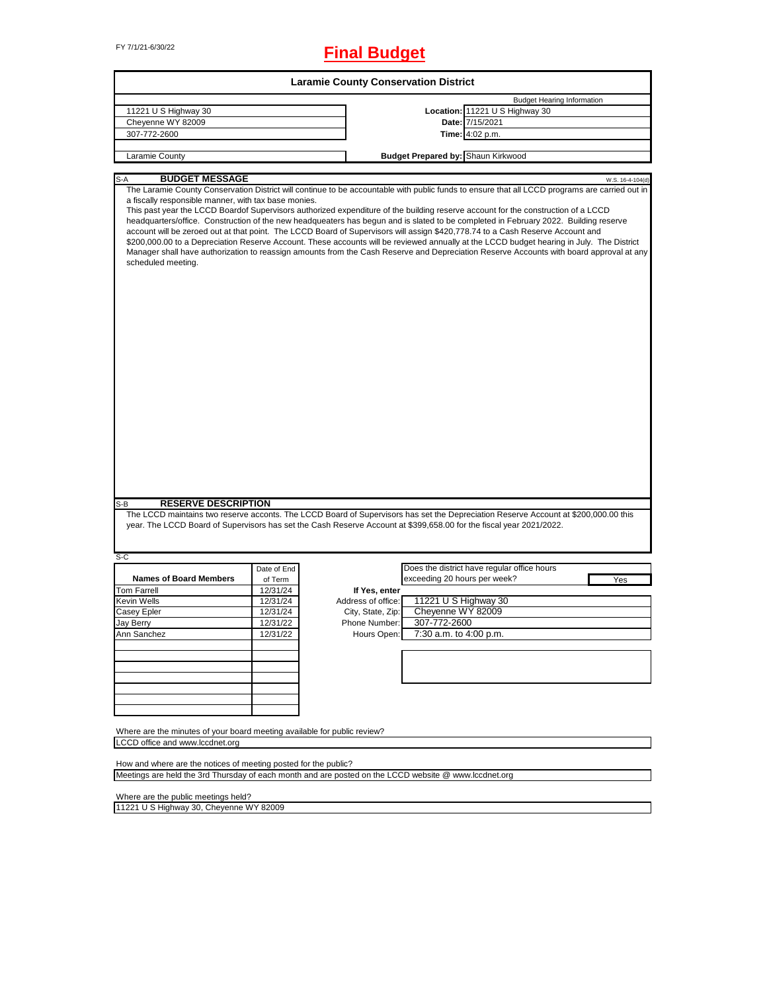# FY 7/1/21-6/30/22 **Final Budget**

| <b>Laramie County Conservation District</b>                                                                 |             |                    |                                                                                                                                                                                                                                                                                                                                                                                                                                                                                                                                                                                                                                                                                                                                                                                                                                                       |  |  |  |  |
|-------------------------------------------------------------------------------------------------------------|-------------|--------------------|-------------------------------------------------------------------------------------------------------------------------------------------------------------------------------------------------------------------------------------------------------------------------------------------------------------------------------------------------------------------------------------------------------------------------------------------------------------------------------------------------------------------------------------------------------------------------------------------------------------------------------------------------------------------------------------------------------------------------------------------------------------------------------------------------------------------------------------------------------|--|--|--|--|
|                                                                                                             |             |                    | <b>Budget Hearing Information</b>                                                                                                                                                                                                                                                                                                                                                                                                                                                                                                                                                                                                                                                                                                                                                                                                                     |  |  |  |  |
| 11221 U S Highway 30                                                                                        |             |                    | Location: 11221 U S Highway 30                                                                                                                                                                                                                                                                                                                                                                                                                                                                                                                                                                                                                                                                                                                                                                                                                        |  |  |  |  |
| Cheyenne WY 82009                                                                                           |             |                    | Date: 7/15/2021                                                                                                                                                                                                                                                                                                                                                                                                                                                                                                                                                                                                                                                                                                                                                                                                                                       |  |  |  |  |
| 307-772-2600                                                                                                |             |                    | Time: 4:02 p.m.                                                                                                                                                                                                                                                                                                                                                                                                                                                                                                                                                                                                                                                                                                                                                                                                                                       |  |  |  |  |
|                                                                                                             |             |                    |                                                                                                                                                                                                                                                                                                                                                                                                                                                                                                                                                                                                                                                                                                                                                                                                                                                       |  |  |  |  |
| Laramie County                                                                                              |             |                    | <b>Budget Prepared by: Shaun Kirkwood</b>                                                                                                                                                                                                                                                                                                                                                                                                                                                                                                                                                                                                                                                                                                                                                                                                             |  |  |  |  |
|                                                                                                             |             |                    |                                                                                                                                                                                                                                                                                                                                                                                                                                                                                                                                                                                                                                                                                                                                                                                                                                                       |  |  |  |  |
| <b>BUDGET MESSAGE</b><br>S-A                                                                                |             |                    | W.S. 16-4-104(d)                                                                                                                                                                                                                                                                                                                                                                                                                                                                                                                                                                                                                                                                                                                                                                                                                                      |  |  |  |  |
| a fiscally responsible manner, with tax base monies.<br>scheduled meeting.                                  |             |                    | The Laramie County Conservation District will continue to be accountable with public funds to ensure that all LCCD programs are carried out in<br>This past year the LCCD Boardof Supervisors authorized expenditure of the building reserve account for the construction of a LCCD<br>headquarters/office. Construction of the new headqueaters has begun and is slated to be completed in February 2022. Building reserve<br>account will be zeroed out at that point. The LCCD Board of Supervisors will assign \$420,778.74 to a Cash Reserve Account and<br>\$200,000.00 to a Depreciation Reserve Account. These accounts will be reviewed annually at the LCCD budget hearing in July. The District<br>Manager shall have authorization to reassign amounts from the Cash Reserve and Depreciation Reserve Accounts with board approval at any |  |  |  |  |
| <b>RESERVE DESCRIPTION</b><br>$S-B$                                                                         |             |                    | The LCCD maintains two reserve acconts. The LCCD Board of Supervisors has set the Depreciation Reserve Account at \$200,000.00 this<br>year. The LCCD Board of Supervisors has set the Cash Reserve Account at \$399,658.00 for the fiscal year 2021/2022.                                                                                                                                                                                                                                                                                                                                                                                                                                                                                                                                                                                            |  |  |  |  |
| S-C                                                                                                         |             |                    |                                                                                                                                                                                                                                                                                                                                                                                                                                                                                                                                                                                                                                                                                                                                                                                                                                                       |  |  |  |  |
|                                                                                                             | Date of End |                    | Does the district have regular office hours                                                                                                                                                                                                                                                                                                                                                                                                                                                                                                                                                                                                                                                                                                                                                                                                           |  |  |  |  |
| <b>Names of Board Members</b>                                                                               | of Term     |                    | exceeding 20 hours per week?<br>Yes                                                                                                                                                                                                                                                                                                                                                                                                                                                                                                                                                                                                                                                                                                                                                                                                                   |  |  |  |  |
| <b>Tom Farrell</b>                                                                                          | 12/31/24    | If Yes, enter      |                                                                                                                                                                                                                                                                                                                                                                                                                                                                                                                                                                                                                                                                                                                                                                                                                                                       |  |  |  |  |
| Kevin Wells                                                                                                 | 12/31/24    | Address of office: | 11221 U S Highway 30                                                                                                                                                                                                                                                                                                                                                                                                                                                                                                                                                                                                                                                                                                                                                                                                                                  |  |  |  |  |
| Casey Epler                                                                                                 | 12/31/24    | City, State, Zip:  | Cheyenne WY 82009                                                                                                                                                                                                                                                                                                                                                                                                                                                                                                                                                                                                                                                                                                                                                                                                                                     |  |  |  |  |
| Jay Berry                                                                                                   | 12/31/22    | Phone Number:      | 307-772-2600                                                                                                                                                                                                                                                                                                                                                                                                                                                                                                                                                                                                                                                                                                                                                                                                                                          |  |  |  |  |
| Ann Sanchez                                                                                                 | 12/31/22    | Hours Open:        | 7:30 a.m. to 4:00 p.m.                                                                                                                                                                                                                                                                                                                                                                                                                                                                                                                                                                                                                                                                                                                                                                                                                                |  |  |  |  |
|                                                                                                             |             |                    |                                                                                                                                                                                                                                                                                                                                                                                                                                                                                                                                                                                                                                                                                                                                                                                                                                                       |  |  |  |  |
|                                                                                                             |             |                    |                                                                                                                                                                                                                                                                                                                                                                                                                                                                                                                                                                                                                                                                                                                                                                                                                                                       |  |  |  |  |
|                                                                                                             |             |                    |                                                                                                                                                                                                                                                                                                                                                                                                                                                                                                                                                                                                                                                                                                                                                                                                                                                       |  |  |  |  |
|                                                                                                             |             |                    |                                                                                                                                                                                                                                                                                                                                                                                                                                                                                                                                                                                                                                                                                                                                                                                                                                                       |  |  |  |  |
|                                                                                                             |             |                    |                                                                                                                                                                                                                                                                                                                                                                                                                                                                                                                                                                                                                                                                                                                                                                                                                                                       |  |  |  |  |
|                                                                                                             |             |                    |                                                                                                                                                                                                                                                                                                                                                                                                                                                                                                                                                                                                                                                                                                                                                                                                                                                       |  |  |  |  |
|                                                                                                             |             |                    |                                                                                                                                                                                                                                                                                                                                                                                                                                                                                                                                                                                                                                                                                                                                                                                                                                                       |  |  |  |  |
|                                                                                                             |             |                    |                                                                                                                                                                                                                                                                                                                                                                                                                                                                                                                                                                                                                                                                                                                                                                                                                                                       |  |  |  |  |
| Where are the minutes of your board meeting available for public review?<br>LCCD office and www.lccdnet.org |             |                    |                                                                                                                                                                                                                                                                                                                                                                                                                                                                                                                                                                                                                                                                                                                                                                                                                                                       |  |  |  |  |
|                                                                                                             |             |                    |                                                                                                                                                                                                                                                                                                                                                                                                                                                                                                                                                                                                                                                                                                                                                                                                                                                       |  |  |  |  |
| How and where are the notices of meeting posted for the public?                                             |             |                    |                                                                                                                                                                                                                                                                                                                                                                                                                                                                                                                                                                                                                                                                                                                                                                                                                                                       |  |  |  |  |
| Meetings are held the 3rd Thursday of each month and are posted on the LCCD website @ www.lccdnet.org       |             |                    |                                                                                                                                                                                                                                                                                                                                                                                                                                                                                                                                                                                                                                                                                                                                                                                                                                                       |  |  |  |  |
|                                                                                                             |             |                    |                                                                                                                                                                                                                                                                                                                                                                                                                                                                                                                                                                                                                                                                                                                                                                                                                                                       |  |  |  |  |

Meetings are held the 3rd Thursday of each month and are posted on the LCCD website @ www.lccdnet.org

Where are the public meetings held?

11221 U S Highway 30, Cheyenne WY 82009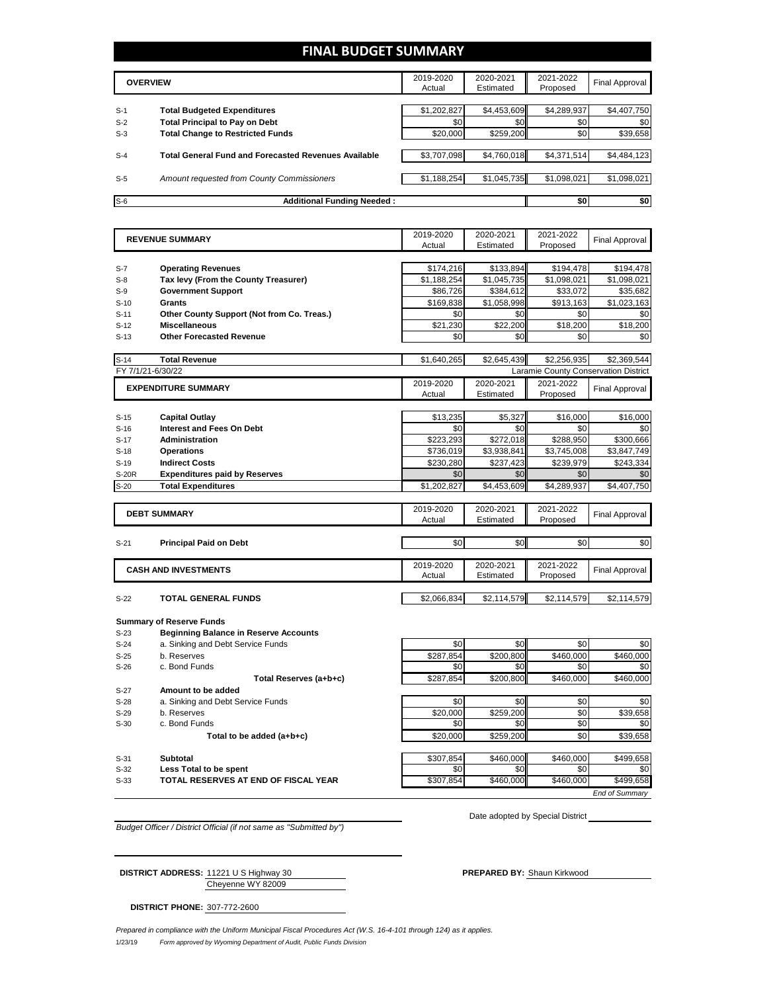#### **FINAL BUDGET SUMMARY**

|       | <b>OVERVIEW</b>                                             | 2019-2020<br>Actual | 2020-2021<br>Estimated | 2021-2022<br>Proposed | <b>Final Approval</b> |
|-------|-------------------------------------------------------------|---------------------|------------------------|-----------------------|-----------------------|
|       |                                                             |                     |                        |                       |                       |
| $S-1$ | <b>Total Budgeted Expenditures</b>                          | \$1,202,827         | \$4,453,609            | \$4,289,937           | \$4,407,750           |
| $S-2$ | <b>Total Principal to Pay on Debt</b>                       | \$0                 | \$0                    | \$0                   | \$0                   |
| $S-3$ | <b>Total Change to Restricted Funds</b>                     | \$20,000            | \$259,200              | \$0                   | \$39,658              |
|       |                                                             |                     |                        |                       |                       |
| $S-4$ | <b>Total General Fund and Forecasted Revenues Available</b> | \$3.707.098         | \$4,760,018            | \$4,371,514           | \$4,484,123           |
|       |                                                             |                     |                        |                       |                       |
| $S-5$ | Amount requested from County Commissioners                  | \$1,188,254         | \$1,045,735            | \$1,098,021           | \$1,098,021           |
|       |                                                             |                     |                        |                       |                       |
| $S-6$ | <b>Additional Funding Needed:</b>                           |                     |                        | \$0                   | \$0                   |

|                  | <b>REVENUE SUMMARY</b>                       | 2019-2020        | 2020-2021        | 2021-2022        | <b>Final Approval</b>                |
|------------------|----------------------------------------------|------------------|------------------|------------------|--------------------------------------|
|                  |                                              | Actual           | Estimated        | Proposed         |                                      |
|                  |                                              |                  |                  |                  |                                      |
| $S-7$            | <b>Operating Revenues</b>                    | \$174.216        | \$133,894        | \$194,478        | \$194.478                            |
| $S-8$            | Tax levy (From the County Treasurer)         | \$1,188,254      | \$1,045,735      | \$1,098,021      | \$1,098,021                          |
| $S-9$            | <b>Government Support</b>                    | \$86,726         | \$384,612        | \$33,072         | \$35,682                             |
| $S-10$           | <b>Grants</b>                                | \$169,838        | \$1,058,998      | \$913,163        | \$1,023,163                          |
| $S-11$           | Other County Support (Not from Co. Treas.)   | \$0              | \$0              | \$0              | \$0                                  |
| $S-12$           | <b>Miscellaneous</b>                         | \$21.230         | \$22.200         | \$18,200         | \$18,200                             |
| $S-13$           | <b>Other Forecasted Revenue</b>              | \$0              | \$0              | \$0              | \$0                                  |
|                  |                                              |                  |                  |                  |                                      |
| $S-14$           | <b>Total Revenue</b>                         | \$1,640,265      | \$2,645,439      | \$2,256,935      | \$2,369,544                          |
|                  | FY 7/1/21-6/30/22                            |                  |                  |                  | Laramie County Conservation District |
|                  | <b>EXPENDITURE SUMMARY</b>                   | 2019-2020        | 2020-2021        | 2021-2022        | <b>Final Approval</b>                |
|                  |                                              | Actual           | Estimated        | Proposed         |                                      |
|                  |                                              |                  |                  |                  |                                      |
| $S-15$           | <b>Capital Outlay</b>                        | \$13,235         | \$5,327          | \$16,000         | \$16,000                             |
| $S-16$           | <b>Interest and Fees On Debt</b>             | \$0              | \$0              | \$0              | \$0                                  |
| $S-17$           | <b>Administration</b>                        | \$223,293        | \$272.018        | \$288,950        | \$300.666                            |
| $S-18$           | <b>Operations</b>                            | \$736.019        | \$3,938,841      | \$3.745.008      | \$3.847.749                          |
| $S-19$           | <b>Indirect Costs</b>                        | \$230,280        | \$237,423        | \$239,979        | \$243,334                            |
| <b>S-20R</b>     | <b>Expenditures paid by Reserves</b>         | \$0              | \$0              | \$0              | \$0                                  |
| $S-20$           | <b>Total Expenditures</b>                    | \$1,202,827      | \$4,453,609      | \$4,289,937      | \$4,407,750                          |
|                  |                                              |                  |                  |                  |                                      |
|                  |                                              | 2019-2020        | 2020-2021        | 2021-2022        |                                      |
|                  | <b>DEBT SUMMARY</b>                          | Actual           | Estimated        | Proposed         | <b>Final Approval</b>                |
|                  |                                              |                  |                  |                  |                                      |
| $S-21$           | <b>Principal Paid on Debt</b>                | \$0              | \$0              | \$0              | \$0                                  |
|                  |                                              |                  |                  |                  |                                      |
|                  | <b>CASH AND INVESTMENTS</b>                  | 2019-2020        | 2020-2021        | 2021-2022        |                                      |
|                  |                                              | Actual           | Estimated        | Proposed         | <b>Final Approval</b>                |
|                  |                                              |                  |                  |                  |                                      |
| $S-22$           | <b>TOTAL GENERAL FUNDS</b>                   | \$2,066,834      | \$2,114,579      | \$2,114,579      | \$2,114,579                          |
|                  |                                              |                  |                  |                  |                                      |
|                  | <b>Summary of Reserve Funds</b>              |                  |                  |                  |                                      |
| $S-23$           | <b>Beginning Balance in Reserve Accounts</b> |                  |                  |                  |                                      |
| $S-24$           | a. Sinking and Debt Service Funds            | \$0              | \$0              | \$0              | \$0                                  |
| $S-25$           | b. Reserves                                  | \$287,854        | \$200,800        | \$460,000        | \$460,000                            |
| $S-26$           | c. Bond Funds                                | \$0              | \$0              | \$0              | \$0                                  |
|                  | Total Reserves (a+b+c)                       | \$287.854        | \$200.800        | \$460.000        | \$460.000                            |
| $S-27$           | Amount to be added                           |                  |                  |                  |                                      |
| $S-28$           | a. Sinking and Debt Service Funds            | \$0              | \$0              | \$0              | \$0                                  |
| $S-29$           | b. Reserves                                  | \$20,000         | \$259,200        | \$0              | \$39,658                             |
| $S-30$           | c. Bond Funds                                | \$0              | \$0              | \$0              | \$0                                  |
|                  | Total to be added (a+b+c)                    | \$20,000         | \$259,200        | \$0              | \$39,658                             |
|                  |                                              |                  |                  |                  |                                      |
|                  |                                              |                  |                  |                  |                                      |
|                  |                                              |                  |                  |                  |                                      |
| $S-31$<br>$S-32$ | Subtotal<br>Less Total to be spent           | \$307,854<br>\$0 | \$460,000<br>\$0 | \$460.000<br>\$0 | \$499.658<br>\$0                     |

S-33 **TOTAL RESERVES AT END OF FISCAL YEAR** \$307,854 \$460,000 \$460,000 \$499,658

Date adopted by Special District

*End of Summary*

*Budget Officer / District Official (if not same as "Submitted by")*

Cheyenne WY 82009 **DISTRICT ADDRESS:** 11221 U S Highway 30 **PREPARED BY:** Shaun Kirkwood

**DISTRICT PHONE:** 307-772-2600

1/23/19 *Form approved by Wyoming Department of Audit, Public Funds Division Prepared in compliance with the Uniform Municipal Fiscal Procedures Act (W.S. 16-4-101 through 124) as it applies.*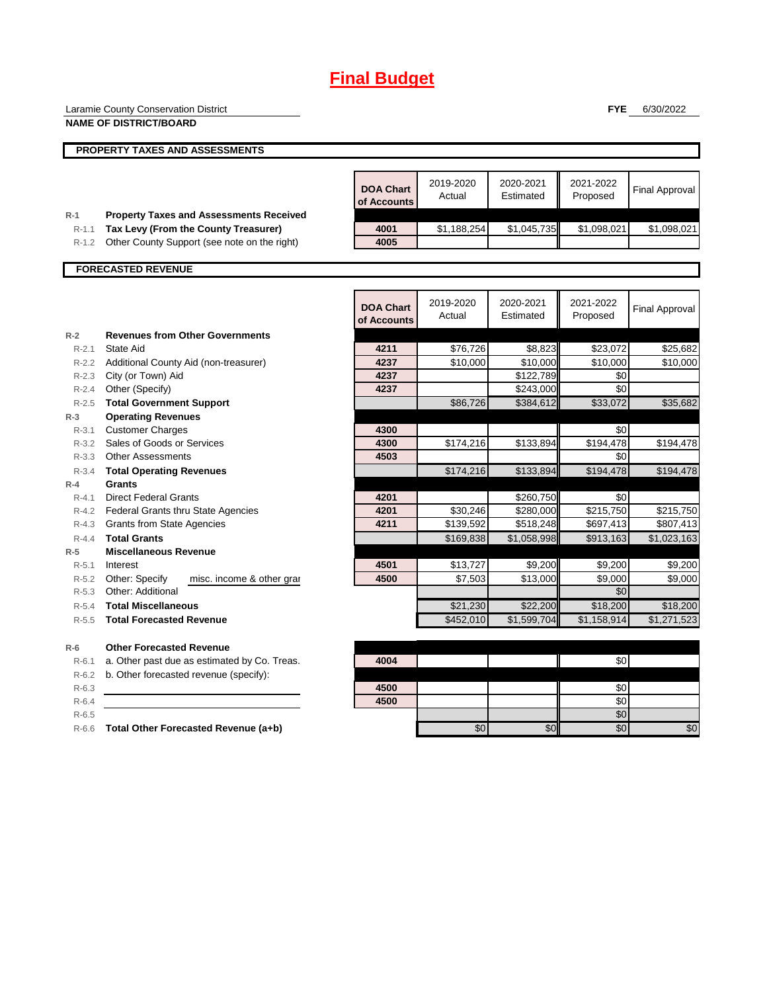# **Final Budget**

|                        | Laramie County Conservation District                                                   |                                 |                     |                        | <b>FYE</b>            | 6/30/2022              |
|------------------------|----------------------------------------------------------------------------------------|---------------------------------|---------------------|------------------------|-----------------------|------------------------|
|                        | <b>NAME OF DISTRICT/BOARD</b>                                                          |                                 |                     |                        |                       |                        |
|                        | <b>PROPERTY TAXES AND ASSESSMENTS</b>                                                  |                                 |                     |                        |                       |                        |
|                        |                                                                                        |                                 |                     |                        |                       |                        |
|                        |                                                                                        | <b>DOA Chart</b><br>of Accounts | 2019-2020<br>Actual | 2020-2021<br>Estimated | 2021-2022<br>Proposed | <b>Final Approval</b>  |
| $R-1$<br>$R-1.1$       | <b>Property Taxes and Assessments Received</b><br>Tax Levy (From the County Treasurer) | 4001                            | \$1,188,254         | \$1,045,735            | \$1,098,021           | \$1,098,021            |
| $R-1.2$                | Other County Support (see note on the right)                                           | 4005                            |                     |                        |                       |                        |
|                        |                                                                                        |                                 |                     |                        |                       |                        |
|                        | <b>FORECASTED REVENUE</b>                                                              |                                 |                     |                        |                       |                        |
|                        |                                                                                        |                                 |                     |                        |                       |                        |
|                        |                                                                                        | <b>DOA Chart</b><br>of Accounts | 2019-2020<br>Actual | 2020-2021<br>Estimated | 2021-2022<br>Proposed | <b>Final Approval</b>  |
| $R-2$                  | <b>Revenues from Other Governments</b>                                                 |                                 |                     |                        |                       |                        |
| $R-2.1$                | State Aid                                                                              | 4211                            | \$76,726            | \$8,823                | \$23,072              | \$25,682               |
| $R - 2.2$              | Additional County Aid (non-treasurer)                                                  | 4237                            | \$10,000            | \$10,000               | \$10,000              | \$10,000               |
| $R - 2.3$<br>$R - 2.4$ | City (or Town) Aid<br>Other (Specify)                                                  | 4237<br>4237                    |                     | \$122,789<br>\$243,000 | \$0<br>\$0            |                        |
|                        |                                                                                        |                                 |                     |                        |                       |                        |
| $R-2.5$<br>$R-3$       | <b>Total Government Support</b><br><b>Operating Revenues</b>                           |                                 | \$86,726            | \$384,612              | \$33,072              | \$35,682               |
| $R-3.1$                | <b>Customer Charges</b>                                                                | 4300                            |                     |                        | \$0                   |                        |
| $R - 3.2$              | Sales of Goods or Services                                                             | 4300                            | \$174,216           | \$133,894              | \$194,478             | \$194,478              |
|                        | R-3.3 Other Assessments                                                                | 4503                            |                     |                        | \$0                   |                        |
| $R-3.4$                | <b>Total Operating Revenues</b>                                                        |                                 | \$174,216           | \$133,894              | \$194,478             | \$194,478              |
| $R-4$                  | <b>Grants</b>                                                                          |                                 |                     |                        |                       |                        |
| $R - 4.1$              | <b>Direct Federal Grants</b>                                                           | 4201                            |                     | \$260,750              | \$0                   |                        |
| R-4.2                  | Federal Grants thru State Agencies                                                     | 4201                            | \$30,246            | \$280,000              | \$215,750             | \$215,750              |
|                        | R-4.3 Grants from State Agencies                                                       | 4211                            | \$139,592           | \$518,248              | \$697,413             | \$807,413              |
| $R - 4.4$              | <b>Total Grants</b>                                                                    |                                 | \$169,838           | \$1,058,998            | \$913,163             | $\overline{1,023,163}$ |
| $R-5$                  | <b>Miscellaneous Revenue</b>                                                           |                                 |                     |                        |                       |                        |
| $R-5.1$                | Interest                                                                               | 4501                            | \$13,727            | \$9,200                | \$9,200               | \$9,200                |
| $R-5.2$                | Other: Specify<br>misc. income & other gran                                            | 4500                            | \$7,503             | \$13,000               | \$9,000               | \$9,000                |
| $R - 5.3$              | <b>Other: Additional</b>                                                               |                                 |                     |                        | \$0                   |                        |
| $R-5.4$                | <b>Total Miscellaneous</b>                                                             |                                 | \$21,230            | \$22,200               | \$18,200              | \$18,200               |
| $R - 5.5$              | <b>Total Forecasted Revenue</b>                                                        |                                 | \$452,010           | \$1,599,704            | \$1,158,914           | \$1,271,523            |
| $R-6$                  | <b>Other Forecasted Revenue</b>                                                        |                                 |                     |                        |                       |                        |
| $R-6.1$                | a. Other past due as estimated by Co. Treas.                                           | 4004                            |                     |                        | \$0                   |                        |
| $R-6.2$                | b. Other forecasted revenue (specify):                                                 |                                 |                     |                        |                       |                        |
| $R-6.3$                |                                                                                        | 4500                            |                     |                        | \$0                   |                        |
| $R-6.4$                |                                                                                        | 4500                            |                     |                        | \$0                   |                        |
| $R-6.5$                |                                                                                        |                                 |                     |                        | \$0                   |                        |
| $R-6.6$                | Total Other Forecasted Revenue (a+b)                                                   |                                 | \$0                 | \$0                    | \$0                   | \$0                    |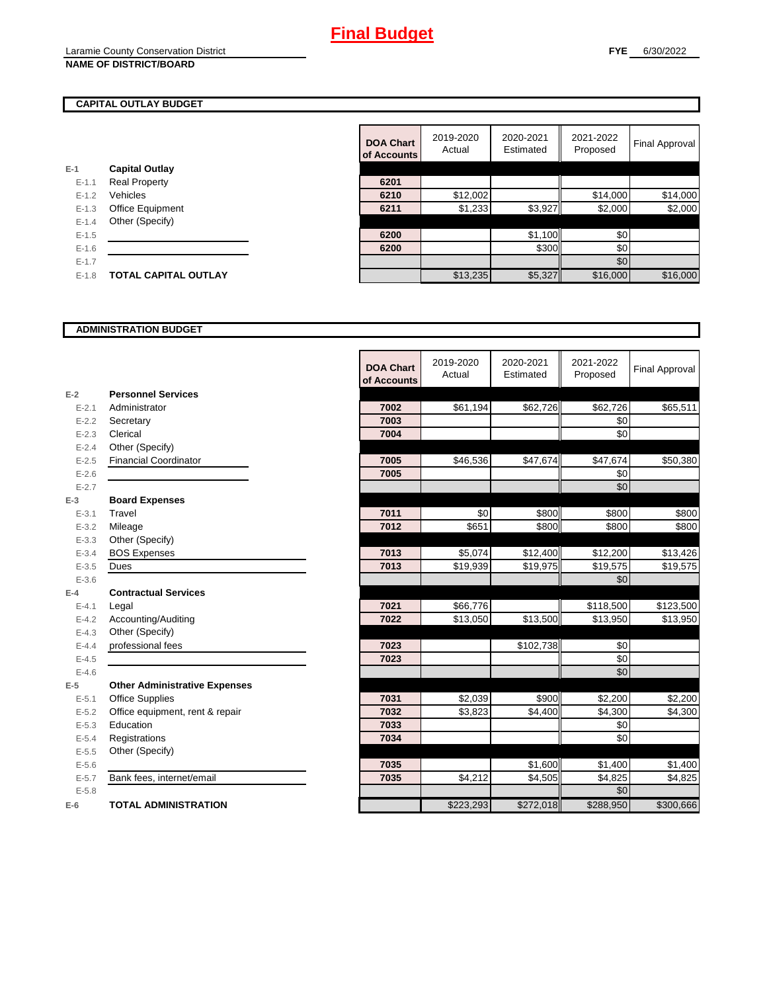#### **CAPITAL OUTLAY BUDGET**

|           |                             | UI AUUUL |
|-----------|-----------------------------|----------|
| $E-1$     | <b>Capital Outlay</b>       |          |
| $E - 1.1$ | <b>Real Property</b>        | 6201     |
| $E - 1.2$ | Vehicles                    | 6210     |
| $E-1.3$   | <b>Office Equipment</b>     | 6211     |
| $E - 1.4$ | Other (Specify)             |          |
| $E - 1.5$ |                             | 6200     |
| $E-1.6$   |                             | 6200     |
| $E-1.7$   |                             |          |
| $E - 1.8$ | <b>TOTAL CAPITAL OUTLAY</b> |          |
|           |                             |          |

|           |                             | <b>DOA Chart</b><br>of Accounts | 2019-2020<br>Actual | 2020-2021<br>Estimated | 2021-2022<br>Proposed | <b>Final Approval</b> |
|-----------|-----------------------------|---------------------------------|---------------------|------------------------|-----------------------|-----------------------|
|           | <b>Capital Outlay</b>       |                                 |                     |                        |                       |                       |
| $E - 1.1$ | <b>Real Property</b>        | 6201                            |                     |                        |                       |                       |
| $E-1.2$   | Vehicles                    | 6210                            | \$12,002            |                        | \$14,000              | \$14,000              |
| $E-1.3$   | Office Equipment            | 6211                            | \$1,233             | \$3,927                | \$2,000               | \$2,000               |
| $E - 1.4$ | Other (Specify)             |                                 |                     |                        |                       |                       |
| $E-1.5$   |                             | 6200                            |                     | \$1,100                | \$0                   |                       |
| $E-1.6$   |                             | 6200                            |                     | \$300                  | \$0                   |                       |
| $E - 1.7$ |                             |                                 |                     |                        | \$0                   |                       |
| $E-1.8$   | <b>TOTAL CAPITAL OUTLAY</b> |                                 | \$13,235            | \$5,327                | \$16,000              | \$16,000              |

#### **ADMINISTRATION BUDGET**

|           |                                      | <b>DOA Chart</b><br>of Accounts | 2019-2020<br>Actual | 2020-2021<br>Estimated | 2021-2022<br>Proposed | <b>Final Approval</b> |
|-----------|--------------------------------------|---------------------------------|---------------------|------------------------|-----------------------|-----------------------|
| $E-2$     | <b>Personnel Services</b>            |                                 |                     |                        |                       |                       |
| $E - 2.1$ | Administrator                        | 7002                            | \$61,194            | \$62,726               | \$62,726              | \$65,511              |
| $E - 2.2$ | Secretary                            | 7003                            |                     |                        | \$0                   |                       |
| $E - 2.3$ | Clerical                             | 7004                            |                     |                        | \$0                   |                       |
| $E - 2.4$ | Other (Specify)                      |                                 |                     |                        |                       |                       |
| $E - 2.5$ | <b>Financial Coordinator</b>         | 7005                            | \$46,536            | \$47,674               | \$47,674              | \$50,380              |
| $E-2.6$   |                                      | 7005                            |                     |                        | \$0                   |                       |
| $E - 2.7$ |                                      |                                 |                     |                        | \$0                   |                       |
| $E-3$     | <b>Board Expenses</b>                |                                 |                     |                        |                       |                       |
| $E - 3.1$ | Travel                               | 7011                            | \$0                 | \$800                  | \$800                 | \$800                 |
| $E - 3.2$ | Mileage                              | 7012                            | \$651               | \$800                  | \$800                 | \$800                 |
| $E - 3.3$ | Other (Specify)                      |                                 |                     |                        |                       |                       |
| $E - 3.4$ | <b>BOS Expenses</b>                  | 7013                            | \$5,074             | \$12,400               | \$12,200              | \$13,426              |
| $E - 3.5$ | Dues                                 | 7013                            | \$19,939            | \$19,975               | \$19,575              | \$19,575              |
| $E - 3.6$ |                                      |                                 |                     |                        | \$0                   |                       |
| $E-4$     | <b>Contractual Services</b>          |                                 |                     |                        |                       |                       |
| $E - 4.1$ | Legal                                | 7021                            | \$66,776            |                        | \$118,500             | \$123,500             |
| $E - 4.2$ | Accounting/Auditing                  | 7022                            | \$13,050            | \$13,500               | \$13,950              | \$13,950              |
| $E - 4.3$ | Other (Specify)                      |                                 |                     |                        |                       |                       |
| $E - 4.4$ | professional fees                    | 7023                            |                     | \$102,738              | \$0                   |                       |
| $E - 4.5$ |                                      | 7023                            |                     |                        | \$0                   |                       |
| $E-4.6$   |                                      |                                 |                     |                        | \$0                   |                       |
| $E-5$     | <b>Other Administrative Expenses</b> |                                 |                     |                        |                       |                       |
| $E - 5.1$ | <b>Office Supplies</b>               | 7031                            | \$2,039             | \$900                  | \$2,200               | \$2,200               |
| $E - 5.2$ | Office equipment, rent & repair      | 7032                            | \$3,823             | \$4,400                | \$4,300               | \$4,300               |
| $E - 5.3$ | Education                            | 7033                            |                     |                        | \$0                   |                       |
| $E - 5.4$ | Registrations                        | 7034                            |                     |                        | \$0                   |                       |
| $E - 5.5$ | Other (Specify)                      |                                 |                     |                        |                       |                       |
| $E - 5.6$ |                                      | 7035                            |                     | \$1,600                | \$1,400               | \$1,400               |
| $E - 5.7$ | Bank fees, internet/email            | 7035                            | \$4,212             | \$4,505                | \$4,825               | \$4,825               |
| $E - 5.8$ |                                      |                                 |                     |                        | \$0                   |                       |
| $E-6$     | <b>TOTAL ADMINISTRATION</b>          |                                 | \$223,293           | \$272,018              | \$288,950             | \$300,666             |

r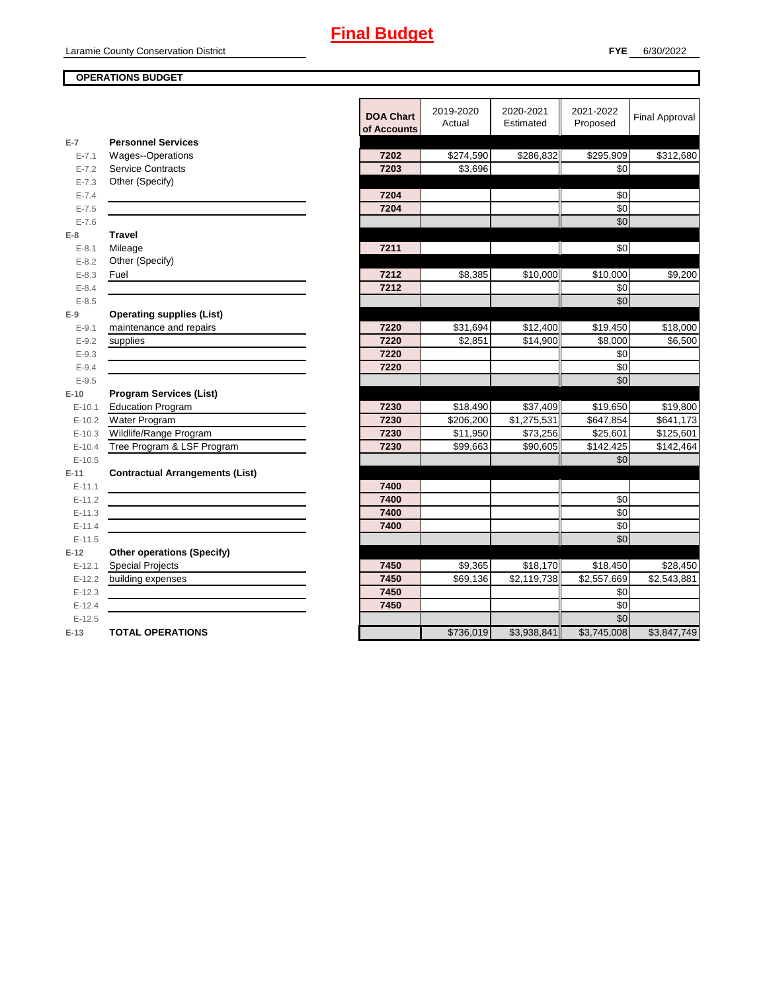#### **OPERATIONS BUDGET**

|                        |                                                             | <b>DOA Chart</b><br>of Accounts | 2019-2020<br>Actual | 2020-2021<br>Estimated  | 2021-2022<br>Proposed | <b>Final Approval</b> |
|------------------------|-------------------------------------------------------------|---------------------------------|---------------------|-------------------------|-----------------------|-----------------------|
| $E-7$                  | <b>Personnel Services</b>                                   |                                 |                     |                         |                       |                       |
| $E - 7.1$              | Wages--Operations                                           | 7202                            | \$274,590           | \$286,832               | \$295,909             | \$312,680             |
| $E - 7.2$              | <b>Service Contracts</b>                                    | 7203                            | \$3,696             |                         | \$0                   |                       |
| $E - 7.3$              | Other (Specify)                                             |                                 |                     |                         |                       |                       |
| $E - 7.4$              |                                                             | 7204                            |                     |                         | \$0                   |                       |
| $E - 7.5$              |                                                             | 7204                            |                     |                         | \$0                   |                       |
| $E - 7.6$              |                                                             |                                 |                     |                         | \$0                   |                       |
| $E-8$                  | <b>Travel</b>                                               |                                 |                     |                         |                       |                       |
| $E - 8.1$              | Mileage                                                     | 7211                            |                     |                         | \$0                   |                       |
| $E - 8.2$              | Other (Specify)                                             |                                 |                     |                         |                       |                       |
| $E - 8.3$              | Fuel                                                        | 7212<br>7212                    | \$8,385             | \$10,000                | \$10,000<br>\$0       | \$9,200               |
| $E - 8.4$<br>$E - 8.5$ |                                                             |                                 |                     |                         | \$0                   |                       |
|                        |                                                             |                                 |                     |                         |                       |                       |
| $E-9$<br>$E-9.1$       | <b>Operating supplies (List)</b><br>maintenance and repairs | 7220                            | \$31,694            | \$12,400                | \$19,450              | \$18,000              |
| $E-9.2$                | supplies                                                    | 7220                            | \$2,851             | \$14,900                | \$8,000               | \$6,500               |
| $E-9.3$                |                                                             | 7220                            |                     |                         | \$0                   |                       |
| $E - 9.4$              |                                                             | 7220                            |                     |                         | \$0                   |                       |
| $E - 9.5$              |                                                             |                                 |                     |                         | \$0                   |                       |
| $E-10$                 | <b>Program Services (List)</b>                              |                                 |                     |                         |                       |                       |
| $E-10.1$               | <b>Education Program</b>                                    | 7230                            | \$18,490            | \$37,409                | \$19,650              | \$19,800              |
| $E-10.2$               | Water Program                                               | 7230                            | \$206,200           | \$1,275,531             | \$647,854             | \$641,173             |
| $E-10.3$               | Wildlife/Range Program                                      | 7230                            | \$11,950            | \$73,256                | \$25,601              | \$125,601             |
| $E-10.4$               | Tree Program & LSF Program                                  | 7230                            | \$99,663            | \$90,605                | \$142,425             | \$142,464             |
| $E-10.5$               |                                                             |                                 |                     |                         | \$0                   |                       |
| $E-11$                 | <b>Contractual Arrangements (List)</b>                      |                                 |                     |                         |                       |                       |
| $E-11.1$               |                                                             | 7400                            |                     |                         |                       |                       |
| $E-11.2$               |                                                             | 7400                            |                     |                         | \$0                   |                       |
| $E-11.3$               |                                                             | 7400                            |                     |                         | \$0                   |                       |
| $E-11.4$               |                                                             | 7400                            |                     |                         | \$0                   |                       |
| $E-11.5$               |                                                             |                                 |                     |                         | \$0                   |                       |
| $E-12$                 | <b>Other operations (Specify)</b>                           |                                 |                     |                         |                       |                       |
| $E-12.1$               | Special Projects                                            | 7450                            | \$9,365             | \$18,170                | \$18,450              | \$28,450              |
| $E-12.2$               | building expenses                                           | 7450                            | \$69,136            | $\overline{$2,119,738}$ | \$2,557,669           | \$2,543,881           |
| $E-12.3$               |                                                             | 7450                            |                     |                         | \$0                   |                       |
| $E-12.4$               |                                                             | 7450                            |                     |                         | $\sqrt{6}$            |                       |
| $E-12.5$               |                                                             |                                 |                     |                         | \$0                   |                       |
| $E-13$                 | <b>TOTAL OPERATIONS</b>                                     |                                 | \$736,019           | \$3,938,841             | \$3,745,008           | \$3,847,749           |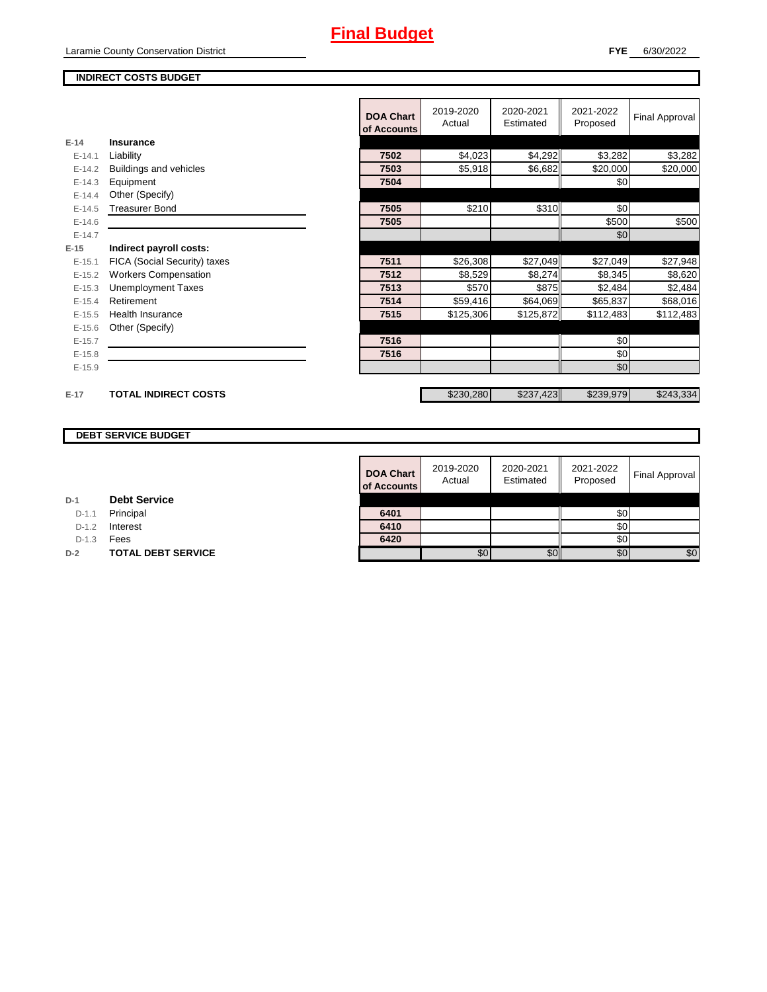#### **INDIRECT COSTS BUDGET**

|          |                              | <b>DOA Chart</b><br>of Accounts | 2019-2020<br>Actual | 2020-2021<br>Estimated | 2021-2022<br>Proposed | <b>Final Approval</b> |
|----------|------------------------------|---------------------------------|---------------------|------------------------|-----------------------|-----------------------|
| $E-14$   | Insurance                    |                                 |                     |                        |                       |                       |
| $E-14.1$ | Liability                    | 7502                            | \$4,023             | \$4,292                | \$3,282               | \$3,282               |
| $E-14.2$ | Buildings and vehicles       | 7503                            | \$5,918             | \$6,682                | \$20,000              | \$20,000              |
| $E-14.3$ | Equipment                    | 7504                            |                     |                        | \$0                   |                       |
| $E-14.4$ | Other (Specify)              |                                 |                     |                        |                       |                       |
| $E-14.5$ | <b>Treasurer Bond</b>        | 7505                            | \$210               | \$310                  | \$0                   |                       |
| $E-14.6$ |                              | 7505                            |                     |                        | \$500                 | \$500                 |
| $E-14.7$ |                              |                                 |                     |                        | \$0                   |                       |
| $E-15$   | Indirect payroll costs:      |                                 |                     |                        |                       |                       |
| $E-15.1$ | FICA (Social Security) taxes | 7511                            | \$26,308            | \$27,049               | \$27,049              | \$27,948              |
| $E-15.2$ | <b>Workers Compensation</b>  | 7512                            | \$8,529             | \$8,274                | \$8,345               | \$8,620               |
| $E-15.3$ | <b>Unemployment Taxes</b>    | 7513                            | \$570               | \$875                  | \$2,484               | \$2,484               |
| $E-15.4$ | Retirement                   | 7514                            | \$59,416            | \$64,069               | \$65,837              | \$68,016              |
| $E-15.5$ | <b>Health Insurance</b>      | 7515                            | \$125,306           | \$125,872              | \$112,483             | \$112,483             |
| $E-15.6$ | Other (Specify)              |                                 |                     |                        |                       |                       |
| $E-15.7$ |                              | 7516                            |                     |                        | \$0                   |                       |
| $E-15.8$ |                              | 7516                            |                     |                        | \$0                   |                       |
| $E-15.9$ |                              |                                 |                     |                        | \$0                   |                       |
|          |                              |                                 |                     |                        |                       |                       |
| $E-17$   | <b>TOTAL INDIRECT COSTS</b>  |                                 | \$230,280           | \$237,423              | \$239,979             | \$243,334             |

### **DEBT SERVICE BUDGET**

|         |                           | <b>DOA Chart</b><br>of Accounts | 2019-2020<br>Actual | 2020-2021<br>Estimated | 2021-2022<br>Proposed | <b>Final Approval</b> |
|---------|---------------------------|---------------------------------|---------------------|------------------------|-----------------------|-----------------------|
|         | <b>Debt Service</b>       |                                 |                     |                        |                       |                       |
| $D-1.1$ | Principal                 | 6401                            |                     |                        | \$0                   |                       |
| $D-1.2$ | Interest                  | 6410                            |                     |                        | \$0 <sub>1</sub>      |                       |
| $D-1.3$ | Fees                      | 6420                            |                     |                        | \$0                   |                       |
|         | <b>TOTAL DEBT SERVICE</b> |                                 | \$0                 | \$0                    | \$0                   | \$0                   |

| <b>Debt Service</b><br>D-1 |  |
|----------------------------|--|
|----------------------------|--|

D-1.1 **Principal** 

D-1.2 **Interest** 

**D-2 TOTAL DEBT SERVICE**